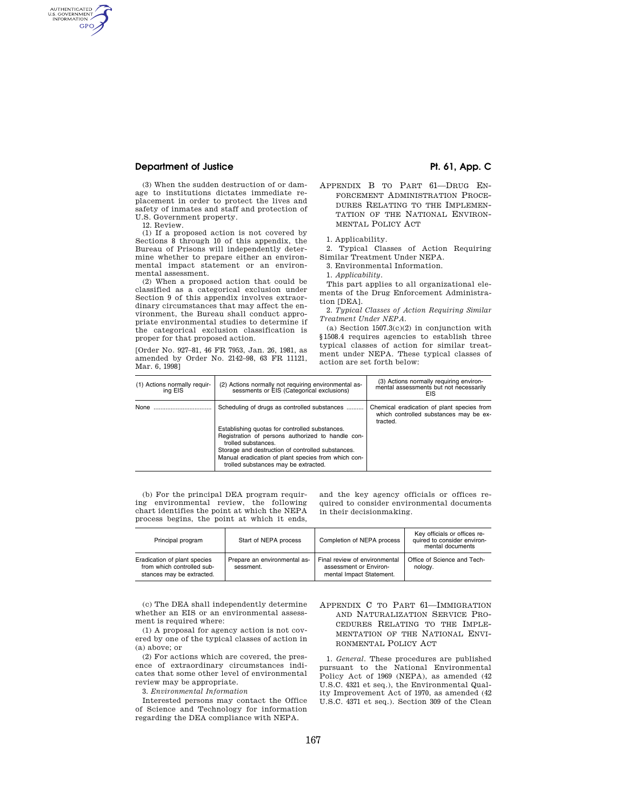# **Department of Justice Pt. 61, App. C**

(3) When the sudden destruction of or damage to institutions dictates immediate replacement in order to protect the lives and safety of inmates and staff and protection of U.S. Government property.

12. Review.

AUTHENTICATED<br>U.S. GOVERNMENT<br>INFORMATION GPO

> (1) If a proposed action is not covered by Sections 8 through 10 of this appendix, the Bureau of Prisons will independently determine whether to prepare either an environmental impact statement or an environmental assessment.

> (2) When a proposed action that could be classified as a categorical exclusion under Section 9 of this appendix involves extraordinary circumstances that may affect the environment, the Bureau shall conduct appropriate environmental studies to determine if the categorical exclusion classification is proper for that proposed action.

[Order No. 927–81, 46 FR 7953, Jan. 26, 1981, as amended by Order No. 2142–98, 63 FR 11121, Mar. 6, 1998]

- 
- APPENDIX B TO PART 61—DRUG EN-FORCEMENT ADMINISTRATION PROCE-DURES RELATING TO THE IMPLEMEN-TATION OF THE NATIONAL ENVIRON-MENTAL POLICY ACT

1. Applicability.

2. Typical Classes of Action Requiring Similar Treatment Under NEPA.

3. Environmental Information.

1. *Applicability.* 

This part applies to all organizational elements of the Drug Enforcement Administration [DEA].

2. *Typical Classes of Action Requiring Similar Treatment Under NEPA.* 

(a) Section  $1507.3(c)(2)$  in conjunction with §1508.4 requires agencies to establish three typical classes of action for similar treatment under NEPA. These typical classes of action are set forth below:

| (1) Actions normally requir-<br>ing EIS | (2) Actions normally not requiring environmental as-<br>sessments or EIS (Categorical exclusions) | (3) Actions normally requiring environ-<br>mental assessments but not necessarily<br>EIS         |
|-----------------------------------------|---------------------------------------------------------------------------------------------------|--------------------------------------------------------------------------------------------------|
| None                                    | Scheduling of drugs as controlled substances                                                      | Chemical eradication of plant species from<br>which controlled substances may be ex-<br>tracted. |
|                                         | Establishing quotas for controlled substances.                                                    |                                                                                                  |
|                                         | Registration of persons authorized to handle con-<br>trolled substances.                          |                                                                                                  |
|                                         | Storage and destruction of controlled substances.                                                 |                                                                                                  |
|                                         | Manual eradication of plant species from which con-<br>trolled substances may be extracted.       |                                                                                                  |

(b) For the principal DEA program requiring environmental review, the following chart identifies the point at which the NEPA process begins, the point at which it ends,

and the key agency officials or offices required to consider environmental documents in their decisionmaking.

| Principal program                                                                       | Start of NEPA process                     | Completion of NEPA process                                                          | Key officials or offices re-<br>quired to consider environ-<br>mental documents |
|-----------------------------------------------------------------------------------------|-------------------------------------------|-------------------------------------------------------------------------------------|---------------------------------------------------------------------------------|
| Eradication of plant species<br>from which controlled sub-<br>stances may be extracted. | Prepare an environmental as-<br>sessment. | Final review of environmental<br>assessment or Environ-<br>mental Impact Statement. | Office of Science and Tech-<br>nology.                                          |

(c) The DEA shall independently determine whether an EIS or an environmental assessment is required where:

(1) A proposal for agency action is not covered by one of the typical classes of action in (a) above; or

(2) For actions which are covered, the presence of extraordinary circumstances indicates that some other level of environmental review may be appropriate.

3. *Environmental Information* 

Interested persons may contact the Office of Science and Technology for information regarding the DEA compliance with NEPA.

APPENDIX C TO PART 61—IMMIGRATION AND NATURALIZATION SERVICE PRO-CEDURES RELATING TO THE IMPLE-MENTATION OF THE NATIONAL ENVI-RONMENTAL POLICY ACT

1. *General.* These procedures are published pursuant to the National Environmental Policy Act of 1969 (NEPA), as amended (42 U.S.C. 4321 et seq.), the Environmental Quality Improvement Act of 1970, as amended (42 U.S.C. 4371 et seq.). Section 309 of the Clean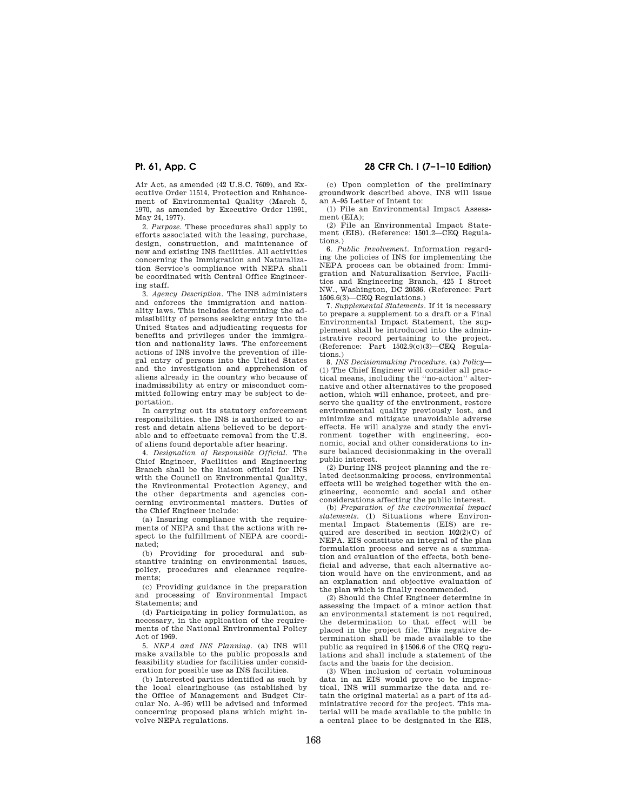Air Act, as amended (42 U.S.C. 7609), and Executive Order 11514, Protection and Enhancement of Environmental Quality (March 5, 1970, as amended by Executive Order 11991, May 24, 1977).

2. *Purpose.* These procedures shall apply to efforts associated with the leasing, purchase, design, construction, and maintenance of new and existing INS facilities. All activities concerning the Immigration and Naturalization Service's compliance with NEPA shall be coordinated with Central Office Engineering staff.

3. *Agency Description.* The INS administers and enforces the immigration and nationality laws. This includes determining the admissibility of persons seeking entry into the United States and adjudicating requests for benefits and privileges under the immigration and nationality laws. The enforcement actions of INS involve the prevention of illegal entry of persons into the United States and the investigation and apprehension of aliens already in the country who because of inadmissibility at entry or misconduct committed following entry may be subject to deportation.

In carrying out its statutory enforcement responsibilities. the INS is authorized to arrest and detain aliens believed to be deportable and to effectuate removal from the U.S. of aliens found deportable after hearing.

4. *Designation of Responsible Official.* The Chief Engineer, Facilities and Engineering Branch shall be the liaison official for INS with the Council on Environmental Quality, the Environmental Protection Agency, and the other departments and agencies concerning environmental matters. Duties of the Chief Engineer include:

(a) Insuring compliance with the requirements of NEPA and that the actions with respect to the fulfillment of NEPA are coordinated;

(b) Providing for procedural and substantive training on environmental issues, policy, procedures and clearance requirements;

(c) Providing guidance in the preparation and processing of Environmental Impact Statements; and

(d) Participating in policy formulation, as necessary, in the application of the requirements of the National Environmental Policy Act of 1969.

5. *NEPA and INS Planning.* (a) INS will make available to the public proposals and feasibility studies for facilities under consideration for possible use as INS facilities.

(b) Interested parties identified as such by the local clearinghouse (as established by the Office of Management and Budget Circular No. A–95) will be advised and informed concerning proposed plans which might involve NEPA regulations.

# **Pt. 61, App. C 28 CFR Ch. I (7–1–10 Edition)**

(c) Upon completion of the preliminary groundwork described above, INS will issue an A–95 Letter of Intent to:

(1) File an Environmental Impact Assessment (EIA);

(2) File an Environmental Impact Statement (EIS). (Reference: 1501.2—CEQ Regulations.)

6. *Public Involvement.* Information regarding the policies of INS for implementing the NEPA process can be obtained from: Immigration and Naturalization Service, Facilities and Engineering Branch, 425 I Street NW., Washington, DC 20536. (Reference: Part 1506.6(3)—CEQ Regulations.)

7. *Supplemental Statements.* If it is necessary to prepare a supplement to a draft or a Final Environmental Impact Statement, the supplement shall be introduced into the administrative record pertaining to the project. (Reference: Part 1502.9(c)(3)—CEQ Regulations.)

8. *INS Decisionmaking Procedure.* (a) *Policy*— (1) The Chief Engineer will consider all practical means, including the ''no-action'' alternative and other alternatives to the proposed action, which will enhance, protect, and preserve the quality of the environment, restore environmental quality previously lost, and minimize and mitigate unavoidable adverse effects. He will analyze and study the environment together with engineering, economic, social and other considerations to insure balanced decisionmaking in the overall public interest.

(2) During INS project planning and the related decisonmaking process, environmental effects will be weighed together with the engineering, economic and social and other considerations affecting the public interest.

(b) *Preparation of the environmental impact statements.* (1) Situations where Environmental Impact Statements (EIS) are required are described in section 102(2)(C) of NEPA. EIS constitute an integral of the plan formulation process and serve as a summation and evaluation of the effects, both beneficial and adverse, that each alternative action would have on the environment, and as an explanation and objective evaluation of the plan which is finally recommended.

(2) Should the Chief Engineer determine in assessing the impact of a minor action that an environmental statement is not required, the determination to that effect will be placed in the project file. This negative determination shall be made available to the public as required in §1506.6 of the CEQ regulations and shall include a statement of the facts and the basis for the decision.

(3) When inclusion of certain voluminous data in an EIS would prove to be impractical, INS will summarize the data and retain the original material as a part of its administrative record for the project. This material will be made available to the public in a central place to be designated in the EIS,